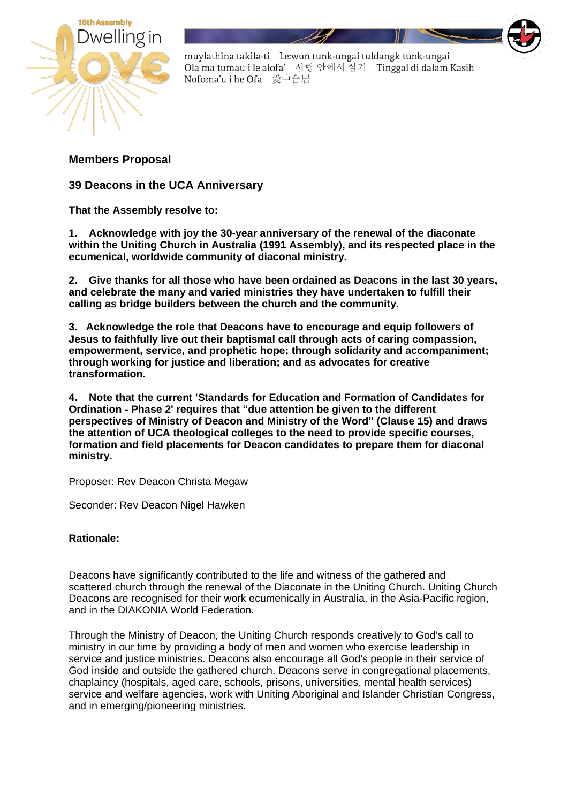

muylathina takila-ti Le:wun tunk-ungai tuldangk tunk-ungai Ola ma tumau i le alofa' 사랑 안에서 살기 Tinggal di dalam Kasih Nofoma'u i he Ofa 愛中合居

**Members Proposal**

**39 Deacons in the UCA Anniversary**

**That the Assembly resolve to:**

**1. Acknowledge with joy the 30-year anniversary of the renewal of the diaconate within the Uniting Church in Australia (1991 Assembly), and its respected place in the ecumenical, worldwide community of diaconal ministry.**

**2. Give thanks for all those who have been ordained as Deacons in the last 30 years, and celebrate the many and varied ministries they have undertaken to fulfill their calling as bridge builders between the church and the community.**

**3. Acknowledge the role that Deacons have to encourage and equip followers of Jesus to faithfully live out their baptismal call through acts of caring compassion, empowerment, service, and prophetic hope; through solidarity and accompaniment; through working for justice and liberation; and as advocates for creative transformation.**

**4. Note that the current 'Standards for Education and Formation of Candidates for Ordination - Phase 2' requires that "due attention be given to the different perspectives of Ministry of Deacon and Ministry of the Word" (Clause 15) and draws the attention of UCA theological colleges to the need to provide specific courses, formation and field placements for Deacon candidates to prepare them for diaconal ministry.**

Proposer: Rev Deacon Christa Megaw

Seconder: Rev Deacon Nigel Hawken

## **Rationale:**

Deacons have significantly contributed to the life and witness of the gathered and scattered church through the renewal of the Diaconate in the Uniting Church. Uniting Church Deacons are recognised for their work ecumenically in Australia, in the Asia-Pacific region, and in the DIAKONIA World Federation.

Through the Ministry of Deacon, the Uniting Church responds creatively to God's call to ministry in our time by providing a body of men and women who exercise leadership in service and justice ministries. Deacons also encourage all God's people in their service of God inside and outside the gathered church. Deacons serve in congregational placements, chaplaincy (hospitals, aged care, schools, prisons, universities, mental health services) service and welfare agencies, work with Uniting Aboriginal and Islander Christian Congress, and in emerging/pioneering ministries.